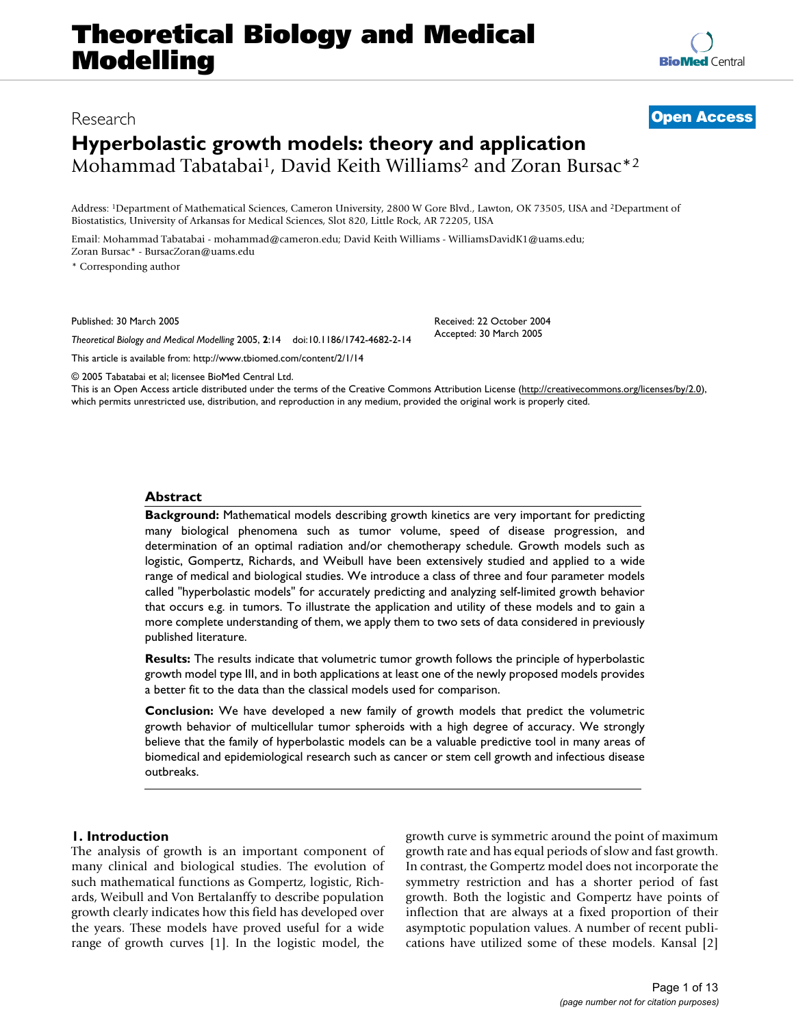# **Theoretical Biology and Medical Modelling**

Address: 1Department of Mathematical Sciences, Cameron University, 2800 W Gore Blvd., Lawton, OK 73505, USA and 2Department of Biostatistics, University of Arkansas for Medical Sciences, Slot 820, Little Rock, AR 72205, USA

Email: Mohammad Tabatabai - mohammad@cameron.edu; David Keith Williams - WilliamsDavidK1@uams.edu; Zoran Bursac\* - BursacZoran@uams.edu

\* Corresponding author

Published: 30 March 2005

*Theoretical Biology and Medical Modelling* 2005, **2**:14 doi:10.1186/1742-4682-2-14

[This article is available from: http://www.tbiomed.com/content/2/1/14](http://www.tbiomed.com/content/2/1/14)

© 2005 Tabatabai et al; licensee BioMed Central Ltd.

This is an Open Access article distributed under the terms of the Creative Commons Attribution License [\(http://creativecommons.org/licenses/by/2.0\)](http://creativecommons.org/licenses/by/2.0), which permits unrestricted use, distribution, and reproduction in any medium, provided the original work is properly cited.

## **Abstract**

**Background:** Mathematical models describing growth kinetics are very important for predicting many biological phenomena such as tumor volume, speed of disease progression, and determination of an optimal radiation and/or chemotherapy schedule. Growth models such as logistic, Gompertz, Richards, and Weibull have been extensively studied and applied to a wide range of medical and biological studies. We introduce a class of three and four parameter models called "hyperbolastic models" for accurately predicting and analyzing self-limited growth behavior that occurs e.g. in tumors. To illustrate the application and utility of these models and to gain a more complete understanding of them, we apply them to two sets of data considered in previously published literature.

**Results:** The results indicate that volumetric tumor growth follows the principle of hyperbolastic growth model type III, and in both applications at least one of the newly proposed models provides a better fit to the data than the classical models used for comparison.

**Conclusion:** We have developed a new family of growth models that predict the volumetric growth behavior of multicellular tumor spheroids with a high degree of accuracy. We strongly believe that the family of hyperbolastic models can be a valuable predictive tool in many areas of biomedical and epidemiological research such as cancer or stem cell growth and infectious disease outbreaks.

## **1. Introduction**

The analysis of growth is an important component of many clinical and biological studies. The evolution of such mathematical functions as Gompertz, logistic, Richards, Weibull and Von Bertalanffy to describe population growth clearly indicates how this field has developed over the years. These models have proved useful for a wide range of growth curves [1]. In the logistic model, the growth curve is symmetric around the point of maximum growth rate and has equal periods of slow and fast growth. In contrast, the Gompertz model does not incorporate the symmetry restriction and has a shorter period of fast growth. Both the logistic and Gompertz have points of inflection that are always at a fixed proportion of their asymptotic population values. A number of recent publications have utilized some of these models. Kansal [2]



Received: 22 October 2004

Accepted: 30 March 2005

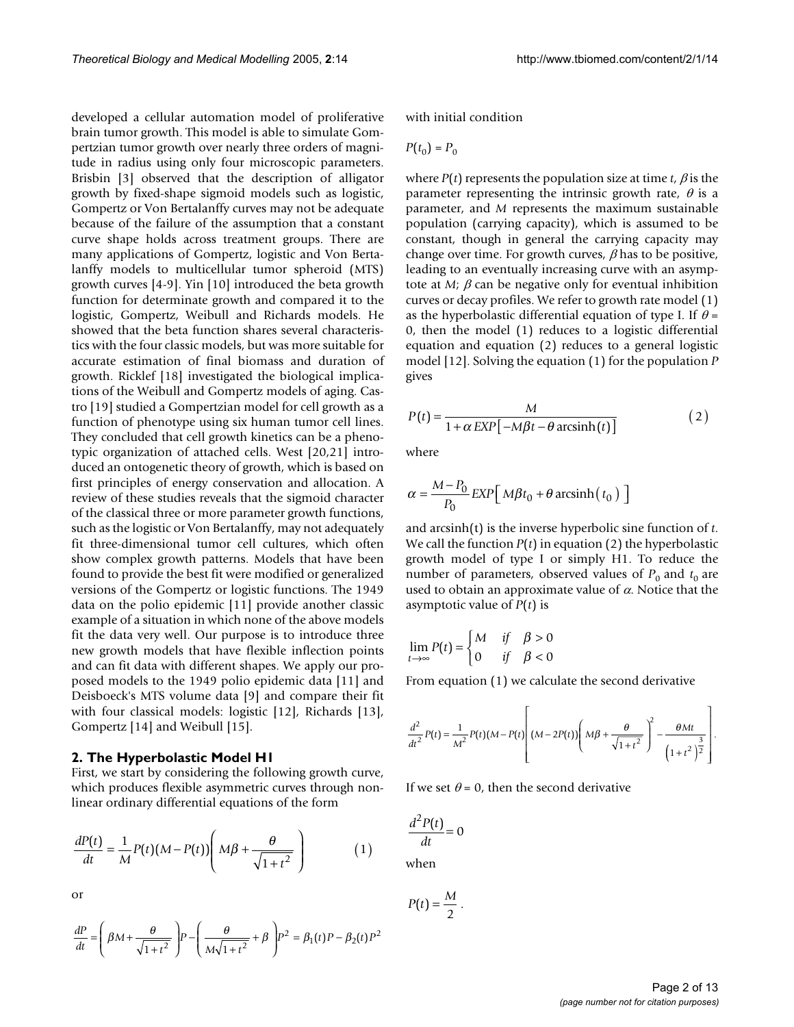developed a cellular automation model of proliferative brain tumor growth. This model is able to simulate Gompertzian tumor growth over nearly three orders of magnitude in radius using only four microscopic parameters. Brisbin [3] observed that the description of alligator growth by fixed-shape sigmoid models such as logistic, Gompertz or Von Bertalanffy curves may not be adequate because of the failure of the assumption that a constant curve shape holds across treatment groups. There are many applications of Gompertz, logistic and Von Bertalanffy models to multicellular tumor spheroid (MTS) growth curves [4-9]. Yin [10] introduced the beta growth function for determinate growth and compared it to the logistic, Gompertz, Weibull and Richards models. He showed that the beta function shares several characteristics with the four classic models, but was more suitable for accurate estimation of final biomass and duration of growth. Ricklef [18] investigated the biological implications of the Weibull and Gompertz models of aging. Castro [19] studied a Gompertzian model for cell growth as a function of phenotype using six human tumor cell lines. They concluded that cell growth kinetics can be a phenotypic organization of attached cells. West [20,21] introduced an ontogenetic theory of growth, which is based on first principles of energy conservation and allocation. A review of these studies reveals that the sigmoid character of the classical three or more parameter growth functions, such as the logistic or Von Bertalanffy, may not adequately fit three-dimensional tumor cell cultures, which often show complex growth patterns. Models that have been found to provide the best fit were modified or generalized versions of the Gompertz or logistic functions. The 1949 data on the polio epidemic [11] provide another classic example of a situation in which none of the above models fit the data very well. Our purpose is to introduce three new growth models that have flexible inflection points and can fit data with different shapes. We apply our proposed models to the 1949 polio epidemic data [11] and Deisboeck's MTS volume data [9] and compare their fit with four classical models: logistic [12], Richards [13], Gompertz [14] and Weibull [15].

#### **2. The Hyperbolastic Model H1**

First, we start by considering the following growth curve, which produces flexible asymmetric curves through nonlinear ordinary differential equations of the form

$$
\frac{dP(t)}{dt} = \frac{1}{M}P(t)(M - P(t))\left(M\beta + \frac{\theta}{\sqrt{1 + t^2}}\right) \tag{1}
$$

or

$$
\frac{dP}{dt} = \left(\beta M + \frac{\theta}{\sqrt{1+t^2}}\right) P - \left(\frac{\theta}{M\sqrt{1+t^2}} + \beta\right) P^2 = \beta_1(t) P - \beta_2(t) P^2
$$

with initial condition

$$
P(t_0) = P_0
$$

where  $P(t)$  represents the population size at time *t*,  $\beta$  is the parameter representing the intrinsic growth rate,  $\theta$  is a parameter, and *M* represents the maximum sustainable population (carrying capacity), which is assumed to be constant, though in general the carrying capacity may change over time. For growth curves,  $\beta$  has to be positive, leading to an eventually increasing curve with an asymptote at  $M$ ;  $\beta$  can be negative only for eventual inhibition curves or decay profiles. We refer to growth rate model (1) as the hyperbolastic differential equation of type I. If  $\theta$  = 0, then the model (1) reduces to a logistic differential equation and equation (2) reduces to a general logistic model [12]. Solving the equation (1) for the population *P* gives

$$
P(t) = \frac{M}{1 + \alpha \, EXP[-M\beta t - \theta \, arcsinh(t)]}
$$
\n(2)

where

$$
\alpha = \frac{M - P_0}{P_0} \, EXP\left[\, M\beta t_0 + \theta \, \text{arcsinh}\left(t_0\right)\,\right]
$$

and arcsinh(t) is the inverse hyperbolic sine function of *t*. We call the function *P*(*t*) in equation (2) the hyperbolastic growth model of type I or simply H1. To reduce the number of parameters, observed values of  $P_0$  and  $t_0$  are used to obtain an approximate value of  $\alpha$ . Notice that the asymptotic value of *P*(*t*) is

$$
\lim_{t \to \infty} P(t) = \begin{cases} M & \text{if } \beta > 0 \\ 0 & \text{if } \beta < 0 \end{cases}
$$

From equation (1) we calculate the second derivative

$$
\frac{d^2}{dt^2}P(t) = \frac{1}{M^2}P(t)(M - P(t)) \left( (M - 2P(t)) \left( M\beta + \frac{\theta}{\sqrt{1 + t^2}} \right)^2 - \frac{\theta Mt}{\left( 1 + t^2 \right)^{\frac{3}{2}}} \right).
$$

If we set  $\theta = 0$ , then the second derivative

$$
\frac{d^2P(t)}{dt} = 0
$$
when

 $P(t) = \frac{M}{2}$ .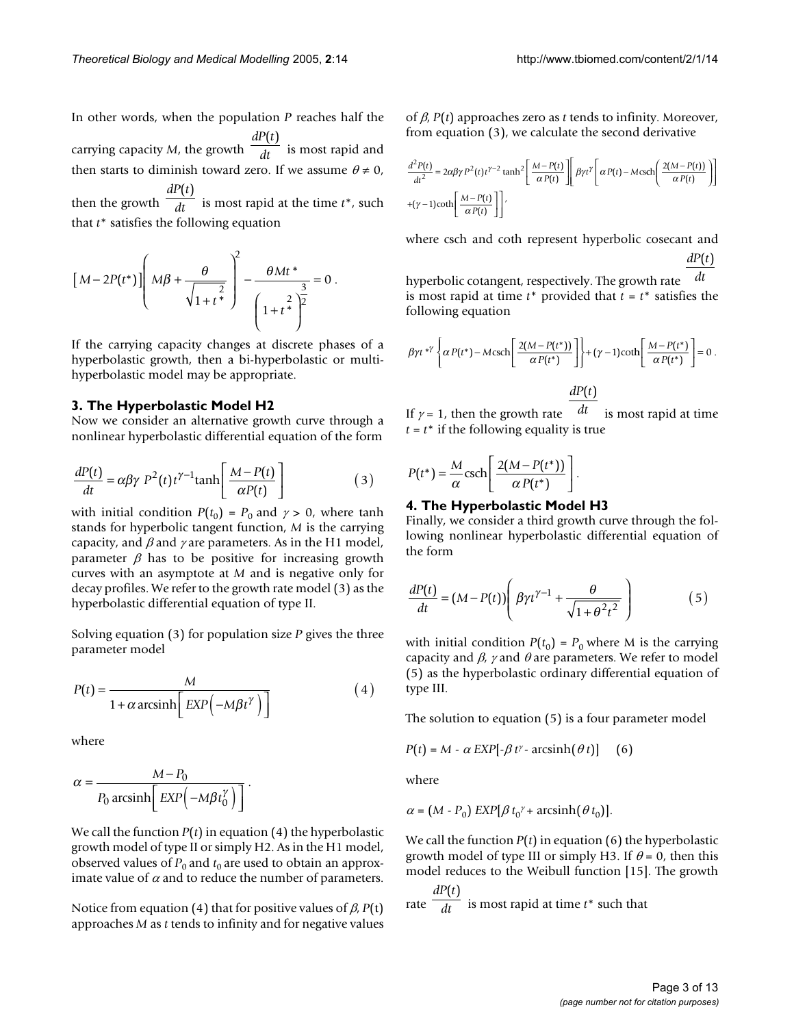In other words, when the population *P* reaches half the carrying capacity *M*, the growth  $\frac{d}{dt}$  is most rapid and then starts to diminish toward zero. If we assume  $\theta \neq 0$ , then the growth  $\frac{1}{dt}$  is most rapid at the time  $t^*$ , such that *t*\* satisfies the following equation *dP t dt*  $(t)$ *dP t dt*  $(t)$ 

$$
\left[M - 2P(t^*)\right] \left(M\beta + \frac{\theta}{\sqrt{1+t^*}}\right)^2 - \frac{\theta Mt^*}{\left(1+t^*^2\right)^2} = 0.
$$

If the carrying capacity changes at discrete phases of a hyperbolastic growth, then a bi-hyperbolastic or multihyperbolastic model may be appropriate.

## **3. The Hyperbolastic Model H2**

Now we consider an alternative growth curve through a nonlinear hyperbolastic differential equation of the form

$$
\frac{dP(t)}{dt} = \alpha \beta \gamma P^2(t) t^{\gamma - 1} \tanh\left[\frac{M - P(t)}{\alpha P(t)}\right]
$$
\n(3)

with initial condition  $P(t_0) = P_0$  and  $\gamma > 0$ , where tanh stands for hyperbolic tangent function, *M* is the carrying capacity, and  $\beta$  and  $\gamma$  are parameters. As in the H1 model, parameter  $\beta$  has to be positive for increasing growth curves with an asymptote at *M* and is negative only for decay profiles. We refer to the growth rate model (3) as the hyperbolastic differential equation of type II.

Solving equation (3) for population size *P* gives the three parameter model

$$
P(t) = \frac{M}{1 + \alpha \arcsinh\left[\frac{EXP\left(-M\beta t^{\gamma}\right)}{\alpha}\right]}
$$
 (4)

where

$$
\alpha = \frac{M - P_0}{P_0 \operatorname{arcsinh}\left[\operatorname{EXP}\left(-M\beta t_0^{\gamma}\right)\right]}.
$$

We call the function  $P(t)$  in equation (4) the hyperbolastic growth model of type II or simply H2. As in the H1 model, observed values of  $P_0$  and  $t_0$  are used to obtain an approximate value of  $\alpha$  and to reduce the number of parameters.

Notice from equation (4) that for positive values of β, *P*(t) approaches *M* as *t* tends to infinity and for negative values of β, *P*(*t*) approaches zero as *t* tends to infinity. Moreover, from equation (3), we calculate the second derivative

$$
\frac{d^2P(t)}{dt^2} = 2\alpha\beta\gamma P^2(t)t^{\gamma-2}\tanh^2\left[\frac{M-P(t)}{\alpha P(t)}\right] \beta\gamma t^{\gamma}\left[\alpha P(t) - M \cosh\left(\frac{2(M-P(t))}{\alpha P(t)}\right)\right]
$$
  
+(*\gamma*-1)coth $\left[\frac{M-P(t)}{\alpha P(t)}\right]$ 

where csch and coth represent hyperbolic cosecant and  $dP(t)$ 

hyperbolic cotangent, respectively. The growth rate is most rapid at time  $t^*$  provided that  $t = t^*$  satisfies the following equation *dt*

$$
\beta \gamma t^{*}\left\{\alpha P(t^*) - M \operatorname{csch}\left[\frac{2(M - P(t^*))}{\alpha P(t^*)}\right]\right\} + (\gamma - 1) \operatorname{coth}\left[\frac{M - P(t^*)}{\alpha P(t^*)}\right] = 0.
$$

 $dP(t)$ 

If  $\gamma$  = 1, then the growth rate  $\frac{dt}{dt}$  is most rapid at time  $t = t^*$  if the following equality is true

$$
P(t^*) = \frac{M}{\alpha} \text{csch}\left[\frac{2(M - P(t^*))}{\alpha P(t^*)}\right].
$$

## **4. The Hyperbolastic Model H3**

Finally, we consider a third growth curve through the following nonlinear hyperbolastic differential equation of the form

$$
\frac{dP(t)}{dt} = (M - P(t)) \left( \beta \gamma t^{\gamma - 1} + \frac{\theta}{\sqrt{1 + \theta^2 t^2}} \right) \tag{5}
$$

with initial condition  $P(t_0) = P_0$  where M is the carrying capacity and  $\beta$ ,  $\gamma$  and  $\theta$  are parameters. We refer to model (5) as the hyperbolastic ordinary differential equation of type III.

The solution to equation (5) is a four parameter model

$$
P(t) = M - \alpha \, EXP[-\beta \, t^{\gamma} - \text{arcsinh}(\theta \, t)] \tag{6}
$$

where

$$
\alpha = (M - P_0) \, EXP[\beta \, t_0^{\gamma} + \text{arcsinh}(\theta \, t_0)].
$$

We call the function *P*(*t*) in equation (6) the hyperbolastic growth model of type III or simply H3. If  $\theta = 0$ , then this model reduces to the Weibull function [15]. The growth

rate  $\frac{d}{dt}$  is most rapid at time  $t^*$  such that *dP t dt*  $(t)$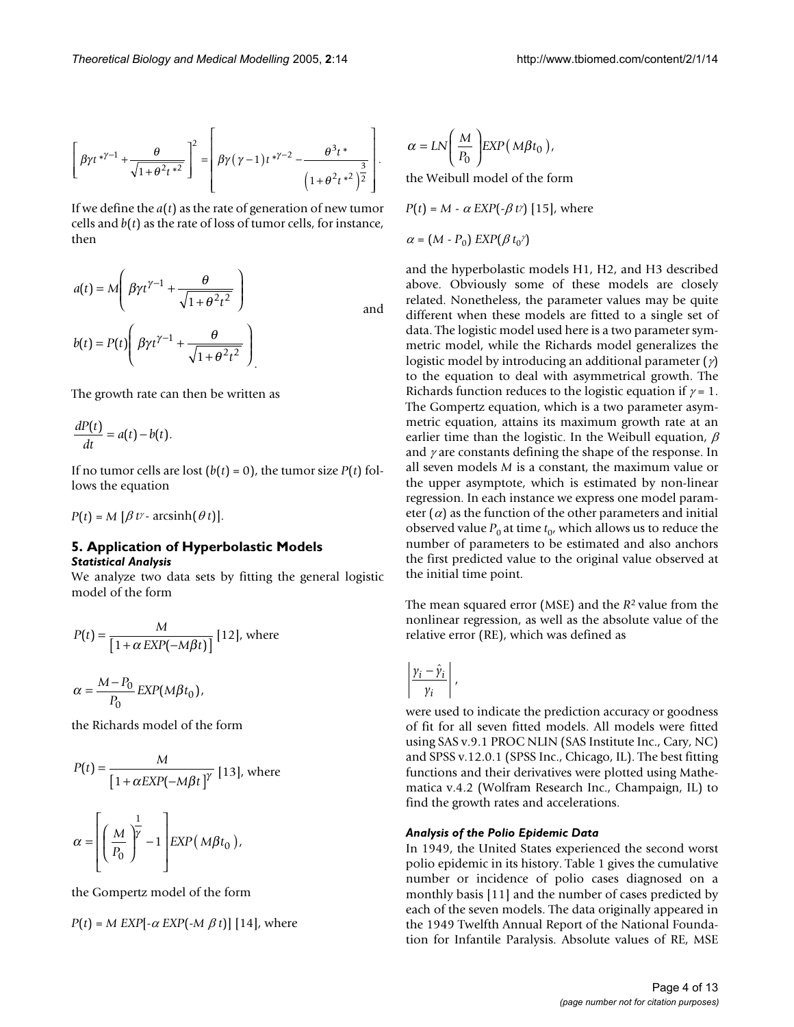$$
\left[\beta \gamma t^{* \gamma - 1} + \frac{\theta}{\sqrt{1 + \theta^2 t^{*^2}}}\right]^2 = \left[\beta \gamma (\gamma - 1) t^{* \gamma - 2} - \frac{\theta^3 t^*}{\left(1 + \theta^2 t^{*^2}\right)^{\frac{3}{2}}}\right].
$$

If we define the *a*(*t*) as the rate of generation of new tumor cells and  $b(t)$  as the rate of loss of tumor cells, for instance, then

$$
a(t) = M \left( \beta \gamma t^{\gamma - 1} + \frac{\theta}{\sqrt{1 + \theta^2 t^2}} \right)
$$
  
and  

$$
b(t) = P(t) \left( \beta \gamma t^{\gamma - 1} + \frac{\theta}{\sqrt{1 + \theta^2 t^2}} \right)
$$

The growth rate can then be written as

$$
\frac{dP(t)}{dt} = a(t) - b(t).
$$

 $\mathcal{L}^{\mathcal{L}}$ 

If no tumor cells are lost  $(b(t) = 0)$ , the tumor size  $P(t)$  follows the equation

 $P(t) = M [\beta t^{\gamma} - \arcsinh(\theta t)].$ 

## **5. Application of Hyperbolastic Models** *Statistical Analysis*

We analyze two data sets by fitting the general logistic model of the form

$$
P(t) = \frac{M}{\left[1 + \alpha \, EXP(-M\beta t)\right]} \,[12], \text{ where}
$$

$$
M - P.
$$

 $\alpha = \frac{M - P_0}{P} EXP(M\beta)$  $\frac{P_{\text{O}}}{P_{\text{O}}}$  *EXP*(*M* $\beta t$  $\frac{1}{20}$  EXP(M $\beta t_0$ ),

the Richards model of the form

$$
P(t) = \frac{M}{\left[1 + \alpha EXP(-M\beta t)\right]^{\gamma}} [13], \text{ where}
$$

<sup>α</sup> <sup>β</sup> <sup>γ</sup> <sup>=</sup> − ( ) *<sup>M</sup> P EXP M t* 0 1 1 , <sup>0</sup>

the Gompertz model of the form

$$
P(t) = M EXP[-\alpha EXP(-M \beta t)]
$$
 [14], where

$$
\alpha = LN\left(\frac{M}{P_0}\right) EXP(M\beta t_0),
$$

the Weibull model of the form

 $P(t) = M - \alpha$  *EXP*( $-\beta$ *t*<sup> $\gamma$ </sup>) [15], where

 $\alpha = (M - P_0) EXP(\beta t_0)$ 

and the hyperbolastic models H1, H2, and H3 described above. Obviously some of these models are closely related. Nonetheless, the parameter values may be quite different when these models are fitted to a single set of data. The logistic model used here is a two parameter symmetric model, while the Richards model generalizes the logistic model by introducing an additional parameter  $(\gamma)$ to the equation to deal with asymmetrical growth. The Richards function reduces to the logistic equation if  $\gamma = 1$ . The Gompertz equation, which is a two parameter asymmetric equation, attains its maximum growth rate at an earlier time than the logistic. In the Weibull equation,  $\beta$ and  $\gamma$  are constants defining the shape of the response. In all seven models *M* is a constant, the maximum value or the upper asymptote, which is estimated by non-linear regression. In each instance we express one model parameter  $(a)$  as the function of the other parameters and initial observed value  $P_0$  at time  $t_0$ , which allows us to reduce the number of parameters to be estimated and also anchors the first predicted value to the original value observed at the initial time point.

The mean squared error (MSE) and the *R*2 value from the nonlinear regression, as well as the absolute value of the relative error (RE), which was defined as

$$
\left|\frac{\gamma_i-\hat{\gamma}_i}{\gamma_i}\right|,
$$

were used to indicate the prediction accuracy or goodness of fit for all seven fitted models. All models were fitted using SAS v.9.1 PROC NLIN (SAS Institute Inc., Cary, NC) and SPSS v.12.0.1 (SPSS Inc., Chicago, IL). The best fitting functions and their derivatives were plotted using Mathematica v.4.2 (Wolfram Research Inc., Champaign, IL) to find the growth rates and accelerations.

## *Analysis of the Polio Epidemic Data*

In 1949, the United States experienced the second worst polio epidemic in its history. Table [1](#page-4-0) gives the cumulative number or incidence of polio cases diagnosed on a monthly basis [11] and the number of cases predicted by each of the seven models. The data originally appeared in the 1949 Twelfth Annual Report of the National Foundation for Infantile Paralysis. Absolute values of RE, MSE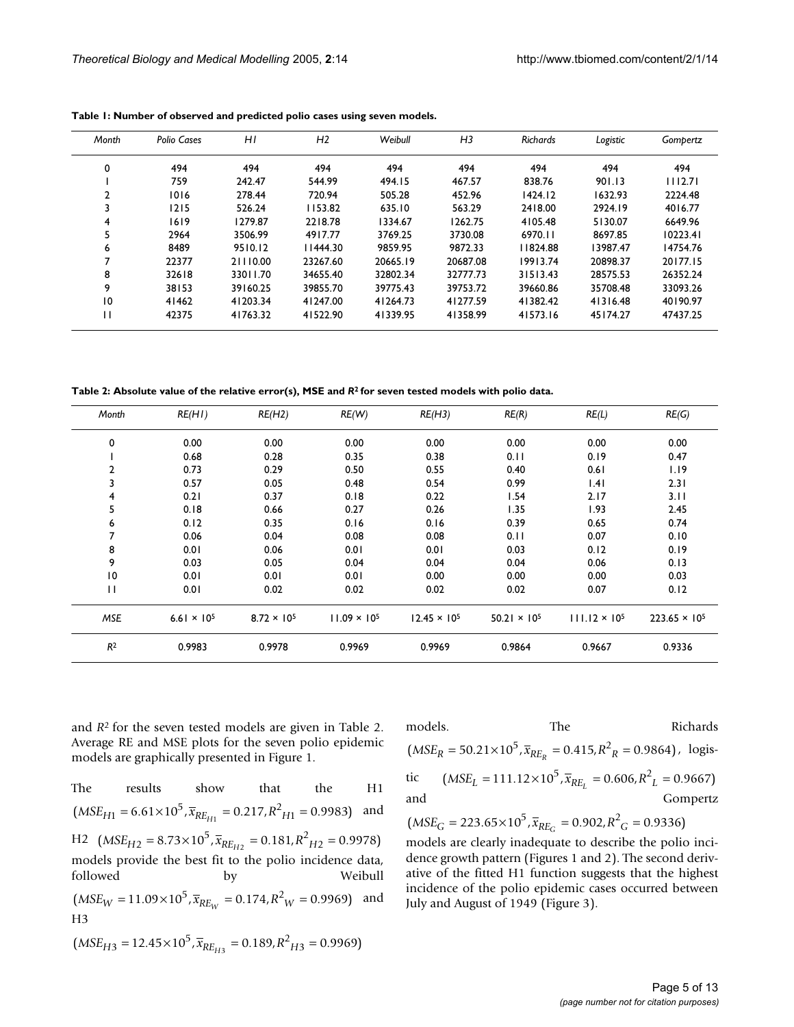| Month          | Polio Cases | H <sub>I</sub> | H <sub>2</sub> | Weibull  | H <sub>3</sub> | <b>Richards</b> | Logistic | Gompertz |
|----------------|-------------|----------------|----------------|----------|----------------|-----------------|----------|----------|
| 0              | 494         | 494            | 494            | 494      | 494            | 494             | 494      | 494      |
|                | 759         | 242.47         | 544.99         | 494.15   | 467.57         | 838.76          | 901.13   | 1112.71  |
| $\overline{2}$ | 1016        | 278.44         | 720.94         | 505.28   | 452.96         | 1424.12         | 1632.93  | 2224.48  |
| 3              | 1215        | 526.24         | 1153.82        | 635.10   | 563.29         | 2418.00         | 2924.19  | 4016.77  |
| 4              | 1619        | 1279.87        | 2218.78        | 1334.67  | 1262.75        | 4105.48         | 5130.07  | 6649.96  |
| 5              | 2964        | 3506.99        | 4917.77        | 3769.25  | 3730.08        | 6970.11         | 8697.85  | 10223.41 |
| 6              | 8489        | 9510.12        | 11444.30       | 9859.95  | 9872.33        | 11824.88        | 13987.47 | 14754.76 |
|                | 22377       | 21110.00       | 23267.60       | 20665.19 | 20687.08       | 19913.74        | 20898.37 | 20177.15 |
| 8              | 32618       | 33011.70       | 34655.40       | 32802.34 | 32777.73       | 31513.43        | 28575.53 | 26352.24 |
| 9              | 38153       | 39160.25       | 39855.70       | 39775.43 | 39753.72       | 39660.86        | 35708.48 | 33093.26 |
| 10             | 41462       | 41203.34       | 41247.00       | 41264.73 | 41277.59       | 41382.42        | 41316.48 | 40190.97 |
| п              | 42375       | 41763.32       | 41522.90       | 41339.95 | 41358.99       | 41573.16        | 45174.27 | 47437.25 |

<span id="page-4-0"></span>**Table 1: Number of observed and predicted polio cases using seven models.**

<span id="page-4-1"></span>**Table 2: Absolute value of the relative error(s), MSE and** *R***2 for seven tested models with polio data.**

| Month          | RE(HI)               | RE(H2)               | RE(W)                 | RE(H3)                | RE(R)                 | RE(L)                  | RE(G)                  |
|----------------|----------------------|----------------------|-----------------------|-----------------------|-----------------------|------------------------|------------------------|
| 0              | 0.00                 | 0.00                 | 0.00                  | 0.00                  | 0.00                  | 0.00                   | 0.00                   |
|                | 0.68                 | 0.28                 | 0.35                  | 0.38                  | 0.11                  | 0.19                   | 0.47                   |
| 2              | 0.73                 | 0.29                 | 0.50                  | 0.55                  | 0.40                  | 0.61                   | 1.19                   |
| 3              | 0.57                 | 0.05                 | 0.48                  | 0.54                  | 0.99                  | .4                     | 2.31                   |
| 4              | 0.21                 | 0.37                 | 0.18                  | 0.22                  | 1.54                  | 2.17                   | 3.11                   |
| 5              | 0.18                 | 0.66                 | 0.27                  | 0.26                  | 1.35                  | 1.93                   | 2.45                   |
| 6              | 0.12                 | 0.35                 | 0.16                  | 0.16                  | 0.39                  | 0.65                   | 0.74                   |
| 7              | 0.06                 | 0.04                 | 0.08                  | 0.08                  | 0.11                  | 0.07                   | 0.10                   |
| 8              | 0.01                 | 0.06                 | 0.01                  | 0.01                  | 0.03                  | 0.12                   | 0.19                   |
| 9              | 0.03                 | 0.05                 | 0.04                  | 0.04                  | 0.04                  | 0.06                   | 0.13                   |
| 10             | 0.01                 | 0.01                 | 0.01                  | 0.00                  | 0.00                  | 0.00                   | 0.03                   |
| $\mathbf{H}$   | 0.01                 | 0.02                 | 0.02                  | 0.02                  | 0.02                  | 0.07                   | 0.12                   |
| MSE            | $6.61 \times 10^{5}$ | $8.72 \times 10^{5}$ | $11.09 \times 10^{5}$ | $12.45 \times 10^{5}$ | $50.21 \times 10^{5}$ | $111.12 \times 10^{5}$ | $223.65 \times 10^{5}$ |
| R <sup>2</sup> | 0.9983               | 0.9978               | 0.9969                | 0.9969                | 0.9864                | 0.9667                 | 0.9336                 |

and *R*2 for the seven tested models are given in Table [2.](#page-4-1) Average RE and MSE plots for the seven polio epidemic models are graphically presented in Figure 1.

The results show that the H1  $(MSE_{H1} = 6.61 \times 10^5$ ,  $\bar{x}_{RE_{H1}} = 0.217$ ,  $R^2_{H1} = 0.9983$ ) and  $H2 \text{ (MSE}_{H2} = 8.73 \times 10^5, \bar{x}_{RE_{H2}} = 0.181, R^2_{H2} = 0.9978)$ models provide the best fit to the polio incidence data, followed by Weibull  $(MSE_W = 11.09 \times 10^5$ ,  $\overline{x}_{RE_W} = 0.174$ ,  $R^2_W = 0.9969$  and H3  $(MSE_{H3} = 12.45 \times 10^5$ ,  $\bar{x}_{RE_{H3}} = 0.189$ ,  $R^2_{H3} = 0.9969$ )

models. The Richards  $(MSE_R = 50.21 \times 10^5$ ,  $\overline{x}_{RE_R} = 0.415$ ,  $R^2$ <sub>R</sub> = 0.9864), logistic and Gompertz  $(MSE_L = 111.12 \times 10^5$ ,  $\overline{x}_{RE_L} = 0.606$ ,  $R_{L}^2 = 0.9667$ 

 $(MSE_G = 223.65 \times 10^5$ ,  $\bar{x}_{RE_G} = 0.902$ ,  $R^2_G = 0.9336$ 

models are clearly inadequate to describe the polio incidence growth pattern (Figures 1 and 2). The second derivative of the fitted H1 function suggests that the highest incidence of the polio epidemic cases occurred between July and August of 1949 (Figure [3\)](#page-8-0).

$$
T_{\text{R}} = \frac{1}{2} \left( \frac{1}{2} \left( \frac{1}{2} \right) \right)
$$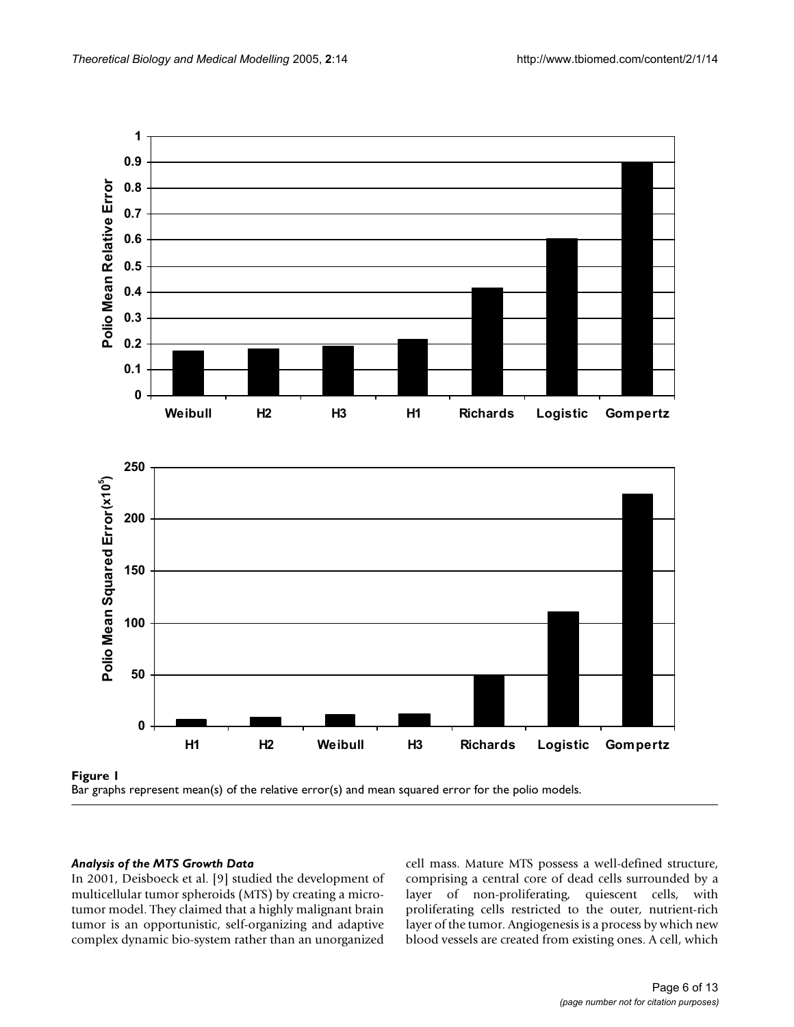



# *Analysis of the MTS Growth Data*

In 2001, Deisboeck et al. [9] studied the development of multicellular tumor spheroids (MTS) by creating a microtumor model. They claimed that a highly malignant brain tumor is an opportunistic, self-organizing and adaptive complex dynamic bio-system rather than an unorganized cell mass. Mature MTS possess a well-defined structure, comprising a central core of dead cells surrounded by a layer of non-proliferating, quiescent cells, with proliferating cells restricted to the outer, nutrient-rich layer of the tumor. Angiogenesis is a process by which new blood vessels are created from existing ones. A cell, which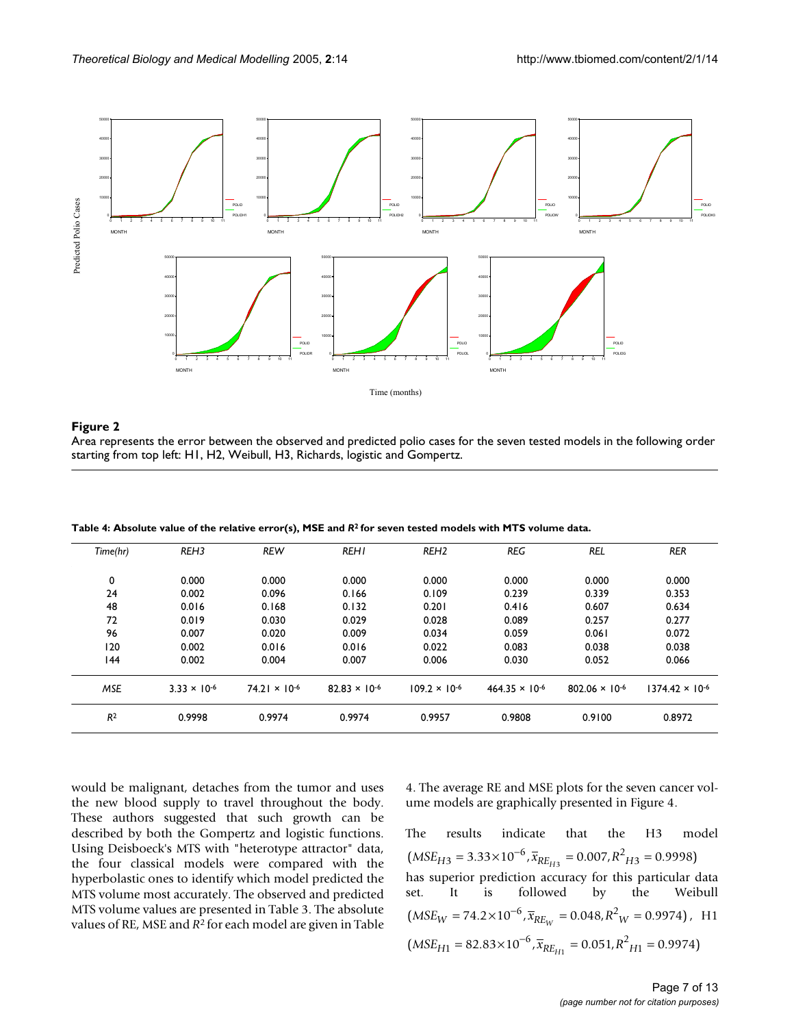

# Area represents the error between the observed and predicted po starting from top left: H1, H2, Weibul **Figure 2** l, H3, Richards, logistic and Gompertz lio cases for the seven tested models in the following order

Area represents the error between the observed and predicted polio cases for the seven tested models in the following order starting from top left: H1, H2, Weibull, H3, Richards, logistic and Gompertz.

| Time(hr)       | REH <sub>3</sub>      | <b>REW</b>             | <b>REHI</b>            | REH <sub>2</sub>       | <b>REG</b>              | <b>REL</b>              | <b>RER</b>               |
|----------------|-----------------------|------------------------|------------------------|------------------------|-------------------------|-------------------------|--------------------------|
| 0              | 0.000                 | 0.000                  | 0.000                  | 0.000                  | 0.000                   | 0.000                   | 0.000                    |
| 24             | 0.002                 | 0.096                  | 0.166                  | 0.109                  | 0.239                   | 0.339                   | 0.353                    |
| 48             | 0.016                 | 0.168                  | 0.132                  | 0.201                  | 0.416                   | 0.607                   | 0.634                    |
| 72             | 0.019                 | 0.030                  | 0.029                  | 0.028                  | 0.089                   | 0.257                   | 0.277                    |
| 96             | 0.007                 | 0.020                  | 0.009                  | 0.034                  | 0.059                   | 0.061                   | 0.072                    |
| 120            | 0.002                 | 0.016                  | 0.016                  | 0.022                  | 0.083                   | 0.038                   | 0.038                    |
| 144            | 0.002                 | 0.004                  | 0.007                  | 0.006                  | 0.030                   | 0.052                   | 0.066                    |
| <b>MSE</b>     | $3.33 \times 10^{-6}$ | $74.21 \times 10^{-6}$ | $82.83 \times 10^{-6}$ | $109.2 \times 10^{-6}$ | $464.35 \times 10^{-6}$ | $802.06 \times 10^{-6}$ | $1374.42 \times 10^{-6}$ |
| R <sup>2</sup> | 0.9998                | 0.9974                 | 0.9974                 | 0.9957                 | 0.9808                  | 0.9100                  | 0.8972                   |

<span id="page-6-0"></span>**Table 4: Absolute value of the relative error(s), MSE and** *R***2 for seven tested models with MTS volume data.**

would be malignant, detaches from the tumor and uses the new blood supply to travel throughout the body. These authors suggested that such growth can be described by both the Gompertz and logistic functions. Using Deisboeck's MTS with "heterotype attractor" data, the four classical models were compared with the hyperbolastic ones to identify which model predicted the MTS volume most accurately. The observed and predicted MTS volume values are presented in Table [3.](#page-8-1) The absolute values of RE, MSE and *R*2 for each model are given in Table

[4](#page-6-0). The average RE and MSE plots for the seven cancer volume models are graphically presented in Figure 4.

The results indicate that the H3 model has superior prediction accuracy for this particular data set. It is followed by the Weibull  $(MSE_W = 74.2 \times 10^{-6}, \overline{x}_{RE_W} = 0.048, R^2_W = 0.9974$ , H1  $(MSE_{H3} = 3.33 \times 10^{-6}, \overline{x}_{RE_{H3}} = 0.007, R^2_{H3} = 0.9998)$  $(MSE_{H1} = 82.83 \times 10^{-6}, \overline{x}_{RE_{H1}} = 0.051, R^2_{H1} = 0.9974)$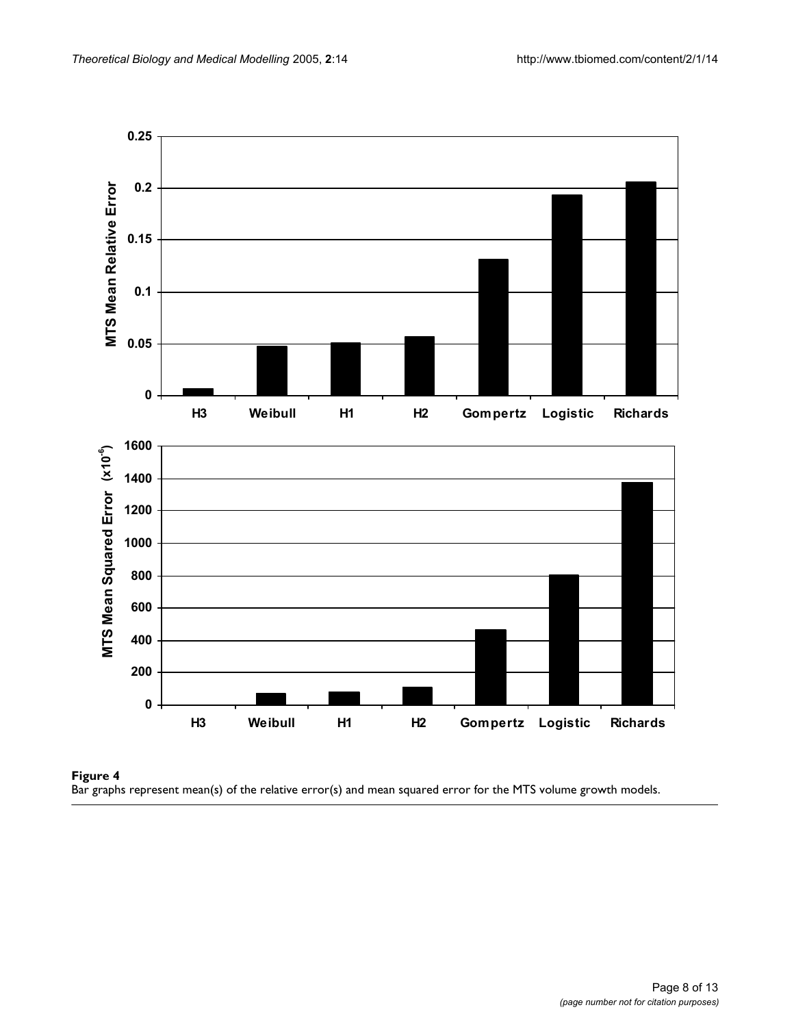

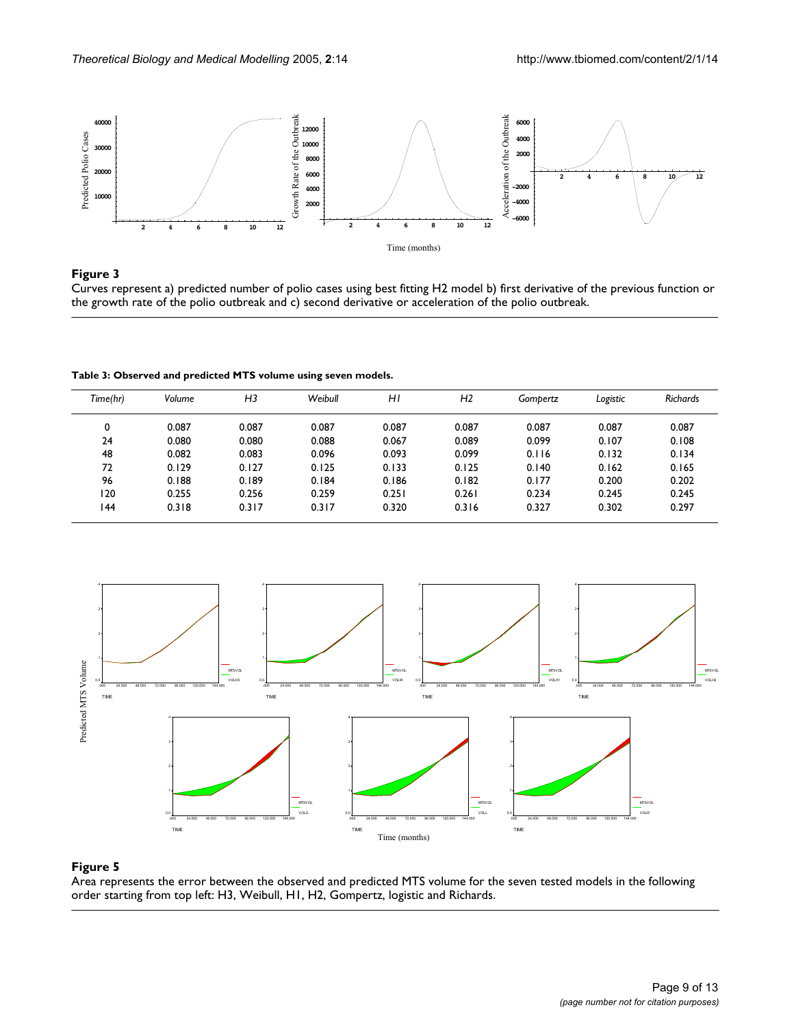<span id="page-8-0"></span>

# **Figure 3** Products and the contract of the contract of the contract of the contract of the contract of the contract of the contract of the contract of the contract of the contract of the contract of the contract of the co

Curves represent a) predicted number of polio cases using best fitting H2 model b) first derivative of the previous function or the growth rate of the polio outbreak and c) second derivative or acceleration of the polio outbreak.

<span id="page-8-1"></span>**Table 3: Observed and predicted MTS volume using seven models.**

| Time(hr) | Volume | H <sub>3</sub> | Weibull | ΗI    | H <sub>2</sub> | Gombertz | Logistic | <b>Richards</b> |
|----------|--------|----------------|---------|-------|----------------|----------|----------|-----------------|
| 0        | 0.087  | 0.087          | 0.087   | 0.087 | 0.087          | 0.087    | 0.087    | 0.087           |
| 24       | 0.080  | 0.080          | 0.088   | 0.067 | 0.089          | 0.099    | 0.107    | 0.108           |
| 48       | 0.082  | 0.083          | 0.096   | 0.093 | 0.099          | 0.116    | 0.132    | 0.134           |
| 72       | 0.129  | 0.127          | 0.125   | 0.133 | 0.125          | 0.140    | 0.162    | 0.165           |
| 96       | 0.188  | 0.189          | 0.184   | 0.186 | 0.182          | 0.177    | 0.200    | 0.202           |
| 120      | 0.255  | 0.256          | 0.259   | 0.251 | 0.261          | 0.234    | 0.245    | 0.245           |
| 144      | 0.318  | 0.317          | 0.317   | 0.320 | 0.316          | 0.327    | 0.302    | 0.297           |



# Area represents the error between the ob order starting from top left: H3, Weibull, **Figure 5** H1, H2, Gompertz, logistic and Richards served and predicted MTS volume for the seven tested models in the following

Area represents the error between the observed and predicted MTS volume for the seven tested models in the following order starting from top left: H3, Weibull, H1, H2, Gompertz, logistic and Richards.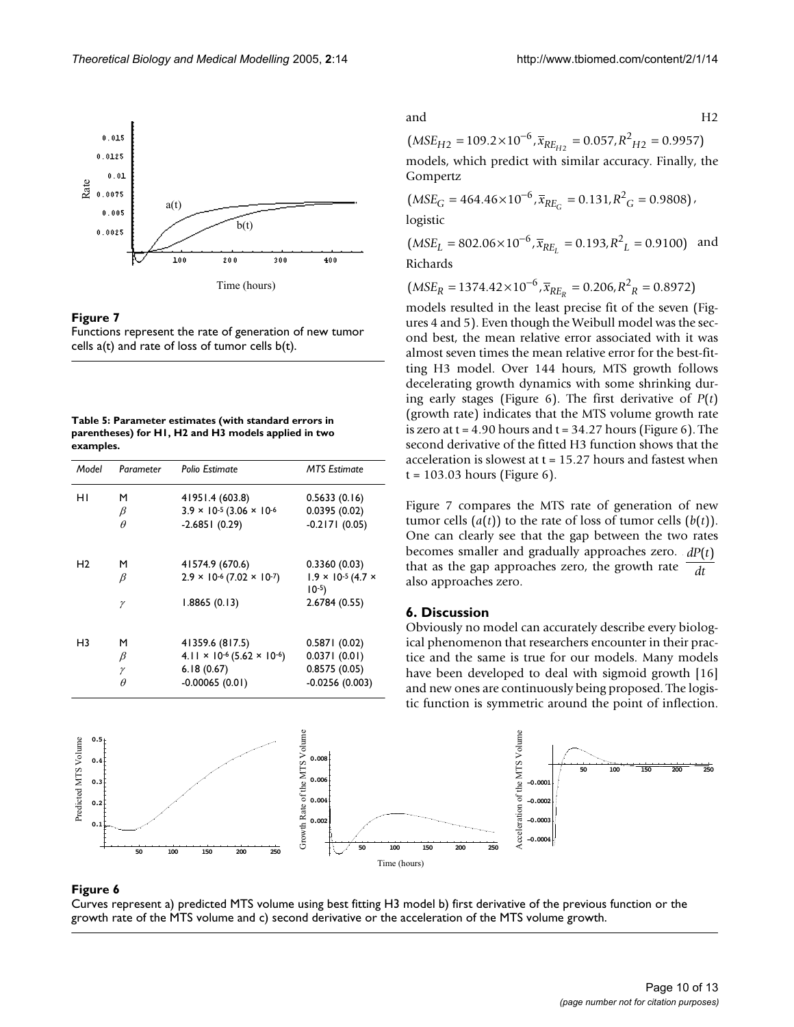

#### Figure 7

Functions represent the rate of generation of new tumor cells  $a(t)$  and rate of loss of tumor cells  $b(t)$ .

<span id="page-9-0"></span>**Table 5: Parameter estimates (with standard errors in parentheses) for H1, H2 and H3 models applied in two examples.**

| Model          | Parameter  | Polio Estimate                                 | <b>MTS Estimate</b>                        |
|----------------|------------|------------------------------------------------|--------------------------------------------|
| нı             | м          | 41951.4 (603.8)                                | 0.5633(0.16)                               |
|                | $_{\beta}$ | $3.9 \times 10^{-5}$ (3.06 $\times 10^{-6}$    | 0.0395(0.02)                               |
|                | $\theta$   | $-2.6851(0.29)$                                | $-0.2171(0.05)$                            |
|                |            |                                                |                                            |
| Η2             | м          | 41574.9 (670.6)                                | 0.3360(0.03)                               |
|                | β          | $2.9 \times 10^{-6} (7.02 \times 10^{-7})$     | $1.9 \times 10^{-5} (4.7 \times$<br>$10-5$ |
|                | γ          | 1.8865(0.13)                                   | 2.6784 (0.55)                              |
|                |            |                                                |                                            |
| H <sub>3</sub> | м          | 41359.6 (817.5)                                | 0.5871(0.02)                               |
|                | β          | $4.11 \times 10^{-6}$ (5.62 $\times 10^{-6}$ ) | 0.0371(0.01)                               |
|                | γ          | 6.18(0.67)                                     | 0.8575(0.05)                               |
|                | $\theta$   | $-0.00065(0.01)$                               | $-0.0256(0.003)$                           |

and H2

models, which predict with similar accuracy. Finally, the Gompertz  $(MSE_{H2} = 109.2 \times 10^{-6}, \overline{x}_{RE_{H2}} = 0.057, R^2_{H2} = 0.9957)$ 

 $(MSE_G = 464.46 \times 10^{-6}, \overline{x}_{RE_G} = 0.131, R^2_G = 0.9808$ logistic

 $(MSE_L = 802.06 \times 10^{-6}, \overline{x}_{RE_L} = 0.193, R^2_L = 0.9100)$  and Richards

 $(MSE_R = 1374.42 \times 10^{-6}$ ,  $\overline{x}_{RE_R} = 0.206$ ,  $R^2_R = 0.8972$ 

models resulted in the least precise fit of the seven (Figures 4 and 5). Even though the Weibull model was the second best, the mean relative error associated with it was almost seven times the mean relative error for the best-fitting H3 model. Over 144 hours, MTS growth follows decelerating growth dynamics with some shrinking during early stages (Figure 6). The first derivative of *P*(*t*) (growth rate) indicates that the MTS volume growth rate is zero at  $t = 4.90$  hours and  $t = 34.27$  hours (Figure 6). The second derivative of the fitted H3 function shows that the acceleration is slowest at  $t = 15.27$  hours and fastest when  $t = 103.03$  hours (Figure 6).

Figure 7 compares the MTS rate of generation of new tumor cells  $(a(t))$  to the rate of loss of tumor cells  $(b(t))$ . One can clearly see that the gap between the two rates becomes smaller and gradually approaches zero.  $dP(t)$ that as the gap approaches zero, the growth rate also approaches zero. *dt*

## **6. Discussion**

Obviously no model can accurately describe every biological phenomenon that researchers encounter in their practice and the same is true for our models. Many models have been developed to deal with sigmoid growth [16] and new ones are continuously being proposed. The logistic function is symmetric around the point of inflection.



## Figure 6  $\,$

Curves represent a) predicted MTS volume using best fitting H3 model b) first derivative of the previous function or the growth rate of the MTS volume and c) second derivative or the acceleration of the MTS volume growth.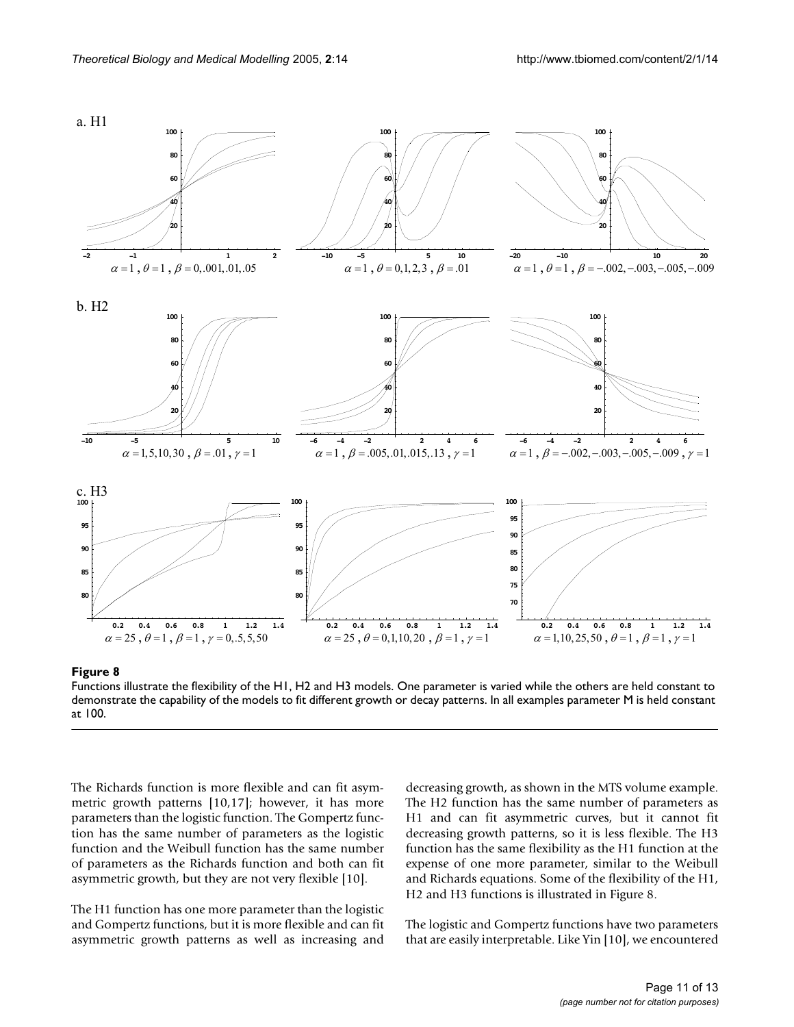

Figure 8

Functions illustrate the flexibility of the H1, H2 and H3 models. One parameter is varied while the others are held constant to demonstrate the capability of the models to fit different growth or decay patterns. In all examples parameter M is held constant at 100.

The Richards function is more flexible and can fit asymmetric growth patterns [10,17]; however, it has more parameters than the logistic function. The Gompertz function has the same number of parameters as the logistic function and the Weibull function has the same number of parameters as the Richards function and both can fit asymmetric growth, but they are not very flexible [10].

The H1 function has one more parameter than the logistic and Gompertz functions, but it is more flexible and can fit asymmetric growth patterns as well as increasing and decreasing growth, as shown in the MTS volume example. The H2 function has the same number of parameters as H1 and can fit asymmetric curves, but it cannot fit decreasing growth patterns, so it is less flexible. The H3 function has the same flexibility as the H1 function at the expense of one more parameter, similar to the Weibull and Richards equations. Some of the flexibility of the H1, H2 and H3 functions is illustrated in Figure 8.

The logistic and Gompertz functions have two parameters that are easily interpretable. Like Yin [10], we encountered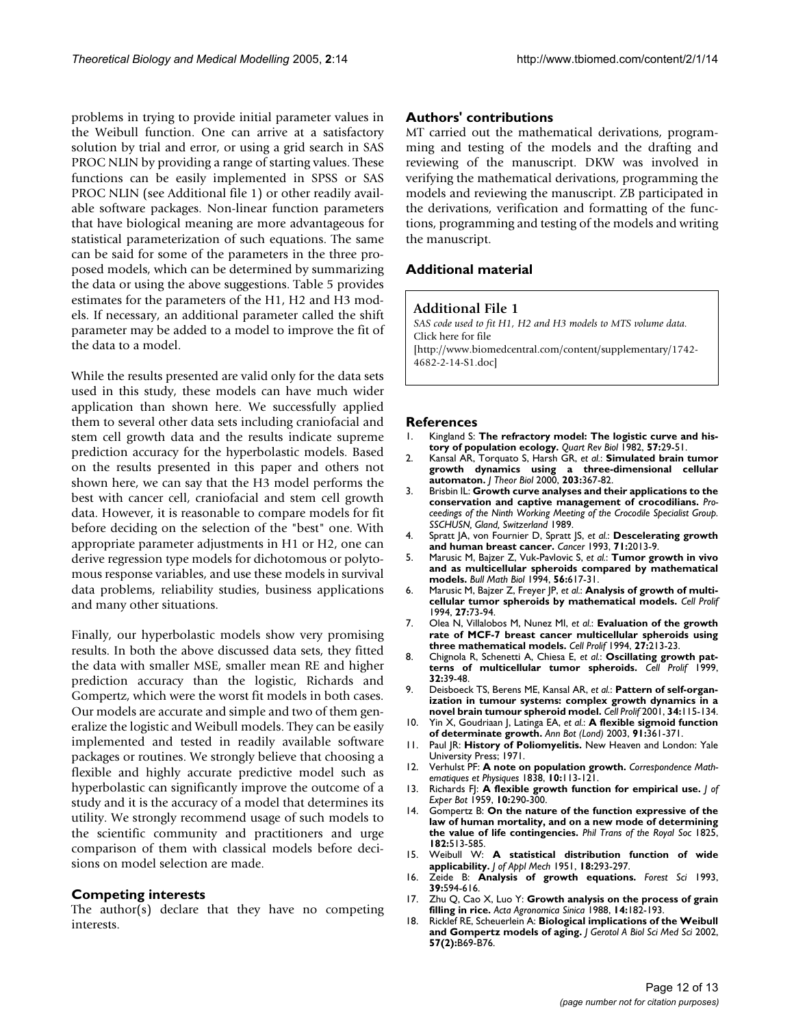problems in trying to provide initial parameter values in the Weibull function. One can arrive at a satisfactory solution by trial and error, or using a grid search in SAS PROC NLIN by providing a range of starting values. These functions can be easily implemented in SPSS or SAS PROC NLIN (see Additional file 1) or other readily available software packages. Non-linear function parameters that have biological meaning are more advantageous for statistical parameterization of such equations. The same can be said for some of the parameters in the three proposed models, which can be determined by summarizing the data or using the above suggestions. Table [5](#page-9-0) provides estimates for the parameters of the H1, H2 and H3 models. If necessary, an additional parameter called the shift parameter may be added to a model to improve the fit of the data to a model.

While the results presented are valid only for the data sets used in this study, these models can have much wider application than shown here. We successfully applied them to several other data sets including craniofacial and stem cell growth data and the results indicate supreme prediction accuracy for the hyperbolastic models. Based on the results presented in this paper and others not shown here, we can say that the H3 model performs the best with cancer cell, craniofacial and stem cell growth data. However, it is reasonable to compare models for fit before deciding on the selection of the "best" one. With appropriate parameter adjustments in H1 or H2, one can derive regression type models for dichotomous or polytomous response variables, and use these models in survival data problems, reliability studies, business applications and many other situations.

Finally, our hyperbolastic models show very promising results. In both the above discussed data sets, they fitted the data with smaller MSE, smaller mean RE and higher prediction accuracy than the logistic, Richards and Gompertz, which were the worst fit models in both cases. Our models are accurate and simple and two of them generalize the logistic and Weibull models. They can be easily implemented and tested in readily available software packages or routines. We strongly believe that choosing a flexible and highly accurate predictive model such as hyperbolastic can significantly improve the outcome of a study and it is the accuracy of a model that determines its utility. We strongly recommend usage of such models to the scientific community and practitioners and urge comparison of them with classical models before decisions on model selection are made.

#### **Competing interests**

The author(s) declare that they have no competing interests.

#### **Authors' contributions**

MT carried out the mathematical derivations, programming and testing of the models and the drafting and reviewing of the manuscript. DKW was involved in verifying the mathematical derivations, programming the models and reviewing the manuscript. ZB participated in the derivations, verification and formatting of the functions, programming and testing of the models and writing the manuscript.

## **Additional material**

#### **Additional File 1**

*SAS code used to fit H1, H2 and H3 models to MTS volume data.* Click here for file [\[http://www.biomedcentral.com/content/supplementary/1742-](http://www.biomedcentral.com/content/supplementary/1742-4682-2-14-S1.doc) 4682-2-14-S1.doc]

#### **References**

- 1. Kingland S: **The refractory model: The logistic curve and history of population ecology.** *Quart Rev Biol* 1982, **57:**29-51.
- 2. Kansal AR, Torquato S, Harsh GR, *et al.*: **[Simulated brain tumor](http://www.ncbi.nlm.nih.gov/entrez/query.fcgi?cmd=Retrieve&db=PubMed&dopt=Abstract&list_uids=10736214) [growth dynamics using a three-dimensional cellular](http://www.ncbi.nlm.nih.gov/entrez/query.fcgi?cmd=Retrieve&db=PubMed&dopt=Abstract&list_uids=10736214) [automaton.](http://www.ncbi.nlm.nih.gov/entrez/query.fcgi?cmd=Retrieve&db=PubMed&dopt=Abstract&list_uids=10736214)** *J Theor Biol* 2000, **203:**367-82.
- 3. Brisbin IL: **Growth curve analyses and their applications to the conservation and captive management of crocodilians.** *Proceedings of the Ninth Working Meeting of the Crocodile Specialist Group. SSCHUSN, Gland, Switzerland* 1989.
- 4. Spratt JA, von Fournier D, Spratt JS, *et al.*: **[Descelerating growth](http://www.ncbi.nlm.nih.gov/entrez/query.fcgi?cmd=Retrieve&db=PubMed&dopt=Abstract&list_uids=8443753) [and human breast cancer.](http://www.ncbi.nlm.nih.gov/entrez/query.fcgi?cmd=Retrieve&db=PubMed&dopt=Abstract&list_uids=8443753)** *Cancer* 1993, **71:**2013-9.
- 5. Marusic M, Bajzer Z, Vuk-Pavlovic S, *et al.*: **[Tumor growth in vivo](http://www.ncbi.nlm.nih.gov/entrez/query.fcgi?cmd=Retrieve&db=PubMed&dopt=Abstract&list_uids=8054889) [and as multicellular spheroids compared by mathematical](http://www.ncbi.nlm.nih.gov/entrez/query.fcgi?cmd=Retrieve&db=PubMed&dopt=Abstract&list_uids=8054889) [models.](http://www.ncbi.nlm.nih.gov/entrez/query.fcgi?cmd=Retrieve&db=PubMed&dopt=Abstract&list_uids=8054889)** *Bull Math Biol* 1994, **56:**617-31.
- 6. Marusic M, Bajzer Z, Freyer JP, *et al.*: **[Analysis of growth of multi](http://www.ncbi.nlm.nih.gov/entrez/query.fcgi?cmd=Retrieve&db=PubMed&dopt=Abstract&list_uids=10465028)[cellular tumor spheroids by mathematical models.](http://www.ncbi.nlm.nih.gov/entrez/query.fcgi?cmd=Retrieve&db=PubMed&dopt=Abstract&list_uids=10465028)** *Cell Prolif* 1994, **27:**73-94.
- 7. Olea N, Villalobos M, Nunez MI, *et al.*: **[Evaluation of the growth](http://www.ncbi.nlm.nih.gov/entrez/query.fcgi?cmd=Retrieve&db=PubMed&dopt=Abstract&list_uids=10465016) [rate of MCF-7 breast cancer multicellular spheroids using](http://www.ncbi.nlm.nih.gov/entrez/query.fcgi?cmd=Retrieve&db=PubMed&dopt=Abstract&list_uids=10465016) [three mathematical models.](http://www.ncbi.nlm.nih.gov/entrez/query.fcgi?cmd=Retrieve&db=PubMed&dopt=Abstract&list_uids=10465016)** *Cell Prolif* 1994, **27:**213-23.
- 8. Chignola R, Schenetti A, Chiesa E, *et al.*: **[Oscillating growth pat](http://www.ncbi.nlm.nih.gov/entrez/query.fcgi?cmd=Retrieve&db=PubMed&dopt=Abstract&list_uids=10371302)[terns of multicellular tumor spheroids.](http://www.ncbi.nlm.nih.gov/entrez/query.fcgi?cmd=Retrieve&db=PubMed&dopt=Abstract&list_uids=10371302)** *Cell Prolif* 1999, **32:**39-48.
- 9. Deisboeck TS, Berens ME, Kansal AR, *et al.*: **[Pattern of self-organ](http://www.ncbi.nlm.nih.gov/entrez/query.fcgi?cmd=Retrieve&db=PubMed&dopt=Abstract&list_uids=11348426)[ization in tumour systems: complex growth dynamics in a](http://www.ncbi.nlm.nih.gov/entrez/query.fcgi?cmd=Retrieve&db=PubMed&dopt=Abstract&list_uids=11348426) [novel brain tumour spheroid model.](http://www.ncbi.nlm.nih.gov/entrez/query.fcgi?cmd=Retrieve&db=PubMed&dopt=Abstract&list_uids=11348426)** *Cell Prolif* 2001, **34:**115-134.
- 10. Yin X, Goudriaan J, Latinga EA, *et al.*: **[A flexible sigmoid function](http://www.ncbi.nlm.nih.gov/entrez/query.fcgi?cmd=Retrieve&db=PubMed&dopt=Abstract&list_uids=12547689) [of determinate growth.](http://www.ncbi.nlm.nih.gov/entrez/query.fcgi?cmd=Retrieve&db=PubMed&dopt=Abstract&list_uids=12547689)** *Ann Bot (Lond)* 2003, **91:**361-371.
- 11. Paul JR: **History of Poliomyelitis.** New Heaven and London: Yale University Press; 1971.
- 12. Verhulst PF: **A note on population growth.** *Correspondence Mathematiques et Physiques* 1838, **10:**113-121.
- 13. Richards FJ: **A flexible growth function for empirical use.** *J of Exper Bot* 1959, **10:**290-300.
- 14. Gompertz B: **On the nature of the function expressive of the law of human mortality, and on a new mode of determining the value of life contingencies.** *Phil Trans of the Royal Soc* 1825, **182:**513-585.
- 15. Weibull W: **A statistical distribution function of wide applicability.** *J of Appl Mech* 1951, **18:**293-297.
- 16. Zeide B: **Analysis of growth equations.** *Forest Sci* 1993, **39:**594-616.
- 17. Zhu Q, Cao X, Luo Y: **Growth analysis on the process of grain filling in rice.** *Acta Agronomica Sinica* 1988, **14:**182-193.
- 18. Ricklef RE, Scheuerlein A: **Biological implications of the Weibull and Gompertz models of aging.** *J Gerotol A Biol Sci Med Sci* 2002, **57(2):**B69-B76.